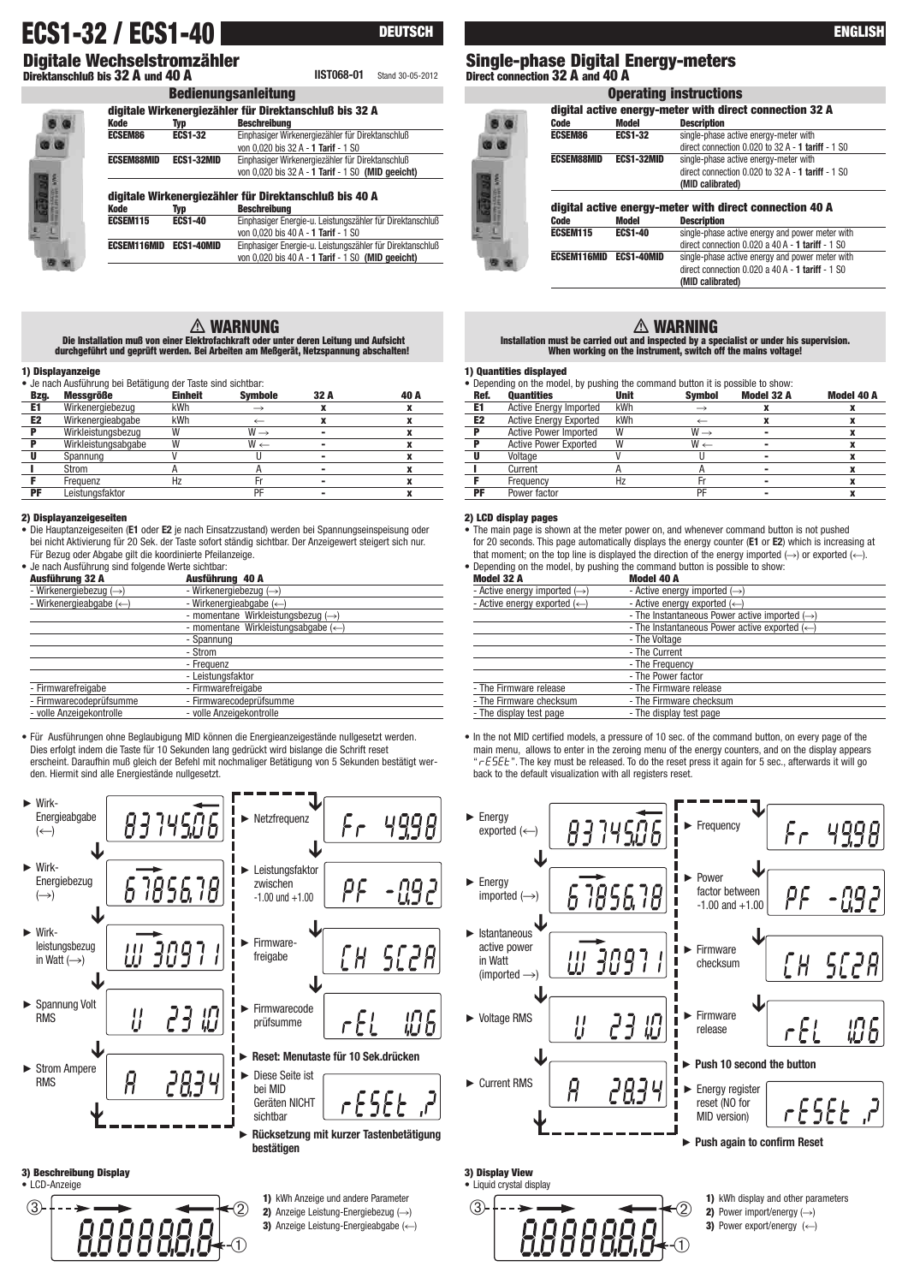# **ECS1-32 / ECS1-40 EXECUTE: EXECUTE: EXECUTE: ENGLISH**

**Digitale Wechselstromzähler Direktanschluß bis 32 A und 40 A**

**Bedienungsanleitung**

**DEUTSCH**

**digital active energy-meter with direct connection 32 A Description ECSEM86 ECS1-32** single-phase active energy-meter with

**Operating instructions**

direct connection 0.020 to 32 A - **1 tariff** - 1 S0

# **Single-phase Digital Energy-meters IIST068-01** Stand 30-05-2012 **Direct connection 32 A and 40 A**

| ū<br>Ξ<br>œ<br>۰<br>٠<br>ı<br>٠<br>٠<br>٠<br>٠ |  |
|------------------------------------------------|--|
| ٠                                              |  |

| poulonungoumortung                                     |                   |                                                           |  |  |
|--------------------------------------------------------|-------------------|-----------------------------------------------------------|--|--|
| digitale Wirkenergiezähler für Direktanschluß bis 32 A |                   |                                                           |  |  |
| <b>Kode</b>                                            | Typ               | <b>Beschreibung</b>                                       |  |  |
| <b>ECSEM86</b>                                         | <b>ECS1-32</b>    | Einphasiger Wirkenergiezähler für Direktanschluß          |  |  |
|                                                        |                   | von 0.020 bis 32 A - 1 Tarif - 1 S0                       |  |  |
| <b>ECSEM88MID</b>                                      | <b>ECS1-32MID</b> | Einphasiger Wirkenergiezähler für Direktanschluß          |  |  |
|                                                        |                   | von 0.020 bis 32 A - 1 Tarif - 1 S0 (MID geeicht)         |  |  |
|                                                        |                   | digitale Wirkenergiezähler für Direktanschluß bis 40 A    |  |  |
| <b>Kode</b>                                            | Typ               | <b>Beschreibung</b>                                       |  |  |
| <b>ECSEM115</b>                                        | <b>ECS1-40</b>    | Einphasiger Energie-u. Leistungszähler für Direktanschluß |  |  |
|                                                        |                   | von 0.020 bis 40 A - 1 Tarif - 1 S0                       |  |  |
| <b>ECSEM116MID</b>                                     | ECS1-40MID        | Einphasiger Energie-u. Leistungszähler für Direktanschluß |  |  |
|                                                        |                   | von 0,020 bis 40 A - 1 Tarif - 1 S0 (MID geeicht)         |  |  |

# **WARNUNG**

**Die Installation muß von einer Elektrofachkraft oder unter deren Leitung und Aufsicht durchgeführt und geprüft werden. Bei Arbeiten am Meßgerät, Netzspannung abschalten!**

#### **1) Displayanzeige**

|                                                              | і з різріцуцівстус  |                |                 |      |      |
|--------------------------------------------------------------|---------------------|----------------|-----------------|------|------|
| • Je nach Ausführung bei Betätigung der Taste sind sichtbar: |                     |                |                 |      |      |
| Bzg.                                                         | <b>Messgröße</b>    | <b>Einheit</b> | <b>Symbole</b>  | 32 A | 40 A |
| E1                                                           | Wirkenergiebezug    | kWh            |                 |      |      |
| E <sub>2</sub>                                               | Wirkenergieabgabe   | kWh            |                 |      |      |
| Р                                                            | Wirkleistungsbezug  | W              | $W \rightarrow$ |      |      |
|                                                              | Wirkleistungsabgabe | W              | $W \leftarrow$  |      |      |
| U                                                            | Spannung            |                |                 |      |      |
|                                                              | Strom               |                |                 |      |      |
|                                                              | Frequenz            | Hz             | Fr              |      |      |
| PF                                                           | Leistungsfaktor     |                | PF              |      |      |

#### **2) Displayanzeigeseiten**

• Die Hauptanzeigeseiten (**E1** oder **E2** je nach Einsatzzustand) werden bei Spannungseinspeisung oder bei nicht Aktivierung für 20 Sek. der Taste sofort ständig sichtbar. Der Anzeigewert steigert sich nur. Für Bezug oder Abgabe gilt die koordinierte Pfeilanzeige.

• Je nach Ausführung sind folgende Werte sichtbar:

| Ausführung 32 A                    | Ausführung 40 A                                |  |  |  |
|------------------------------------|------------------------------------------------|--|--|--|
| - Wirkenergiebezug $(\rightarrow)$ | - Wirkenergiebezug $(\rightarrow)$             |  |  |  |
| - Wirkenergieabgabe $(\leftarrow)$ | - Wirkenergieabgabe $(\leftarrow)$             |  |  |  |
|                                    | - momentane Wirkleistungsbezug $(\rightarrow)$ |  |  |  |
|                                    | - momentane Wirkleistungsabgabe (<= )          |  |  |  |
|                                    | - Spannung                                     |  |  |  |
|                                    | - Strom                                        |  |  |  |
|                                    | - Frequenz                                     |  |  |  |
|                                    | - Leistungsfaktor                              |  |  |  |
| - Firmwarefreigabe                 | - Firmwarefreigabe                             |  |  |  |
| - Firmwarecodeprüfsumme            | - Firmwarecodeprüfsumme                        |  |  |  |
| - volle Anzeigekontrolle           | - volle Anzeigekontrolle                       |  |  |  |
|                                    |                                                |  |  |  |

• Für Ausführungen ohne Beglaubigung MID können die Energieanzeigestände nullgesetzt werden. Dies erfolgt indem die Taste für 10 Sekunden lang gedrückt wird bislange die Schrift reset erscheint. Daraufhin muß gleich der Befehl mit nochmaliger Betätigung von 5 Sekunden bestätigt werden. Hiermit sind alle Energiestände nullgesetzt.



#### **3) Beschreibung Display**



- **1)** kWh Anzeige und andere Parameter
- **2)** Anzeige Leistung-Energiebezug (→)
- **3)** Anzeige Leistung-Energieabgabe ( $\leftarrow$ )

|                    |                   | $O(1)$ and $O(1)$ and $O(1)$ and $O(1)$ and $O(1)$ and $O(1)$ and $O(1)$ and $O(1)$ and $O(1)$ and $O(1)$ and $O(1)$ and $O(1)$ and $O(1)$ and $O(1)$ and $O(1)$ and $O(1)$ and $O(1)$ and $O(1)$ and $O(1)$ and $O(1)$ and |
|--------------------|-------------------|-----------------------------------------------------------------------------------------------------------------------------------------------------------------------------------------------------------------------------|
| <b>ECSEM88MID</b>  | <b>ECS1-32MID</b> | single-phase active energy-meter with                                                                                                                                                                                       |
|                    |                   | direct connection $0.020$ to $32$ A - 1 tariff - 1 S0                                                                                                                                                                       |
|                    |                   | (MID calibrated)                                                                                                                                                                                                            |
|                    |                   |                                                                                                                                                                                                                             |
|                    |                   | digital active energy-meter with direct connection 40 A                                                                                                                                                                     |
| Code               | <b>Model</b>      | <b>Description</b>                                                                                                                                                                                                          |
| ECSEM115           | <b>ECS1-40</b>    | single-phase active energy and power meter with                                                                                                                                                                             |
|                    |                   |                                                                                                                                                                                                                             |
|                    |                   |                                                                                                                                                                                                                             |
| <b>ECSEM116MID</b> | <b>ECS1-40MID</b> |                                                                                                                                                                                                                             |
|                    |                   | direct connection $0.020$ a 40 A - 1 tariff - 1 S0<br>single-phase active energy and power meter with<br>direct connection $0.020$ a 40 A - 1 tariff - 1 S0                                                                 |

# **WARNING**

**Installation must be carried out and inspected by a specialist or under his supervision. When working on the instrument, switch off the mains voltage!**

#### **1) Quantities displayed**

• Depending on the model, by pushing the command button it is possible to show

| <b>Quantities</b>             | Unit | <b>Symbol</b>   | Model 32 A | <b>Model 40 A</b> |
|-------------------------------|------|-----------------|------------|-------------------|
| <b>Active Energy Imported</b> | kWh  |                 |            |                   |
| <b>Active Energy Exported</b> | kWh  |                 |            |                   |
| <b>Active Power Imported</b>  | W    | $W \rightarrow$ |            |                   |
| <b>Active Power Exported</b>  | W    | $W \leftarrow$  |            |                   |
| Voltage                       |      |                 |            |                   |
| Current                       |      |                 |            |                   |
| Frequency                     | Hz   |                 | -          |                   |
| Power factor                  |      | PF              | -          |                   |
|                               |      |                 |            |                   |

### **2) LCD display pages**

• The main page is shown at the meter power on, and whenever command button is not pushed for 20 seconds. This page automatically displays the energy counter (**E1** or **E2**) which is increasing at that moment; on the top line is displayed the direction of the energy imported  $(\rightarrow)$  or exported  $(\leftarrow)$ .

| • Depending on the model, by pushing the command button is possible to show:<br>Model 40 A |
|--------------------------------------------------------------------------------------------|
| - Active energy imported $(\rightarrow)$                                                   |
| - Active energy exported $(\leftarrow)$                                                    |
| - The Instantaneous Power active imported $(\rightarrow)$                                  |
| - The Instantaneous Power active exported $(\leftarrow)$                                   |
| - The Voltage                                                                              |
| - The Current                                                                              |
| - The Frequency                                                                            |
| - The Power factor                                                                         |
| - The Firmware release                                                                     |
| - The Firmware checksum                                                                    |
| - The display test page                                                                    |
|                                                                                            |

• In the not MID certified models, a pressure of 10 sec. of the command button, on every page of the main menu, allows to enter in the zeroing menu of the energy counters, and on the display appears " ". The key must be released. To do the reset press it again for 5 sec., afterwards it will go back to the default visualization with all registers reset.



# **3) Display View**



**1)** kWh display and other parameters **2)** Power import/energy  $(\rightarrow)$ **3)** Power export/energy  $(\leftarrow)$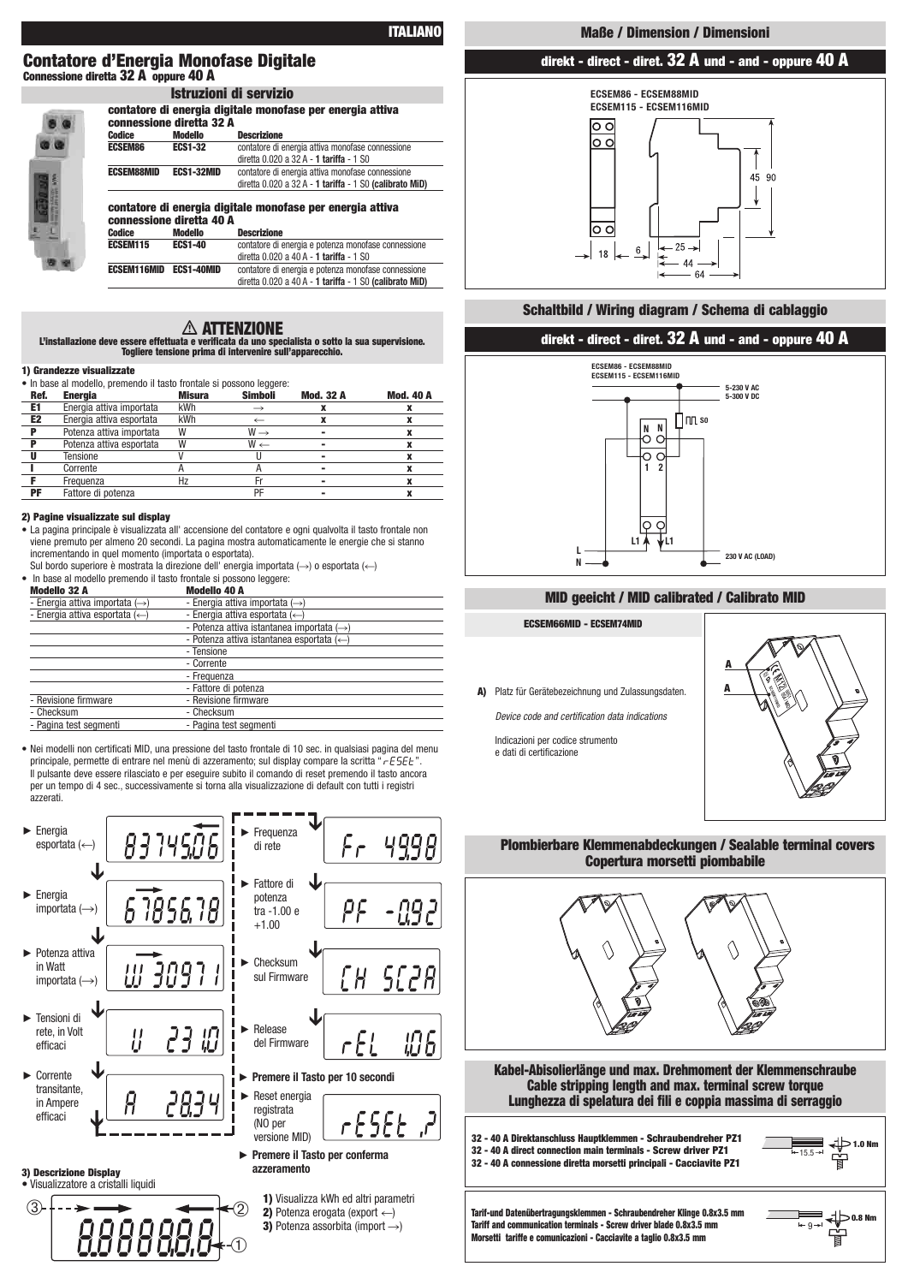**ITALIANO**

### **Contatore d'Energia Monofase Digitale Connessione diretta 32 A oppure 40 A**

|                    | GUILLALUI C UI CHEI YIA UIYILA<br>connessione diretta 32 A |    |
|--------------------|------------------------------------------------------------|----|
| <b>Codice</b>      | <b>Modello</b>                                             | D  |
| <b>ECSEM86</b>     | <b>ECS1-32</b>                                             | C( |
|                    |                                                            | di |
| <b>ECSEM88MID</b>  | ECS1-32MID                                                 | C( |
|                    |                                                            | di |
|                    | contatore di energia digita<br>connessione diretta 40 A    |    |
| <b>Codice</b>      | <b>Modello</b>                                             | D  |
| <b>ECSEM115</b>    | <b>ECS1-40</b>                                             | C( |
|                    |                                                            | di |
| <b>ECSEM116MID</b> | <b>ECS1-40MID</b>                                          | C( |
|                    |                                                            |    |

| contatore di energia digitale monofase per energia attiva<br>connessione diretta 32 A |                   |                                                         |  |  |
|---------------------------------------------------------------------------------------|-------------------|---------------------------------------------------------|--|--|
| Codice                                                                                | <b>Modello</b>    | <b>Descrizione</b>                                      |  |  |
| <b>ECSEM86</b>                                                                        | <b>ECS1-32</b>    | contatore di energia attiva monofase connessione        |  |  |
|                                                                                       |                   | diretta 0.020 a 32 A - 1 tariffa - 1 S0                 |  |  |
| <b>ECSEM88MID</b>                                                                     | <b>ECS1-32MID</b> | contatore di energia attiva monofase connessione        |  |  |
|                                                                                       |                   | diretta 0.020 a 32 A - 1 tariffa - 1 S0 (calibrato MiD) |  |  |
| contatore di energia digitale monofase per energia attiva<br>connessione diretta 40 A |                   |                                                         |  |  |
| Codice                                                                                | <b>Modello</b>    | <b>Descrizione</b>                                      |  |  |
| <b>ECSEM115</b>                                                                       | <b>ECS1-40</b>    | contatore di energia e potenza monofase connessione     |  |  |
|                                                                                       |                   | diretta 0.020 a 40 A - 1 tariffa - 1 S0                 |  |  |
| <b>ECSEM116MID</b>                                                                    | <b>ECS1-40MID</b> | contatore di energia e potenza monofase connessione     |  |  |
|                                                                                       |                   | diretta 0.020 a 40 A - 1 tariffa - 1 S0 (calibrato MiD) |  |  |

# **ATTENZIONE**

**L'installazione deve essere effettuata e verificata da uno specialista o sotto la sua supervisione. Togliere tensione prima di intervenire sull'apparecchio.**

**Istruzioni di servizio**

#### **1) Grandezze visualizzate**

| • In base al modello, premendo il tasto frontale si possono leggere: |                          |               |                         |                  |                  |
|----------------------------------------------------------------------|--------------------------|---------------|-------------------------|------------------|------------------|
| Ref.                                                                 | <b>Energia</b>           | <b>Misura</b> | <b>Simboli</b>          | <b>Mod. 32 A</b> | <b>Mod. 40 A</b> |
| E1                                                                   | Energia attiva importata | kWh           |                         |                  |                  |
| E <sub>2</sub>                                                       | Energia attiva esportata | kWh           |                         |                  |                  |
| P                                                                    | Potenza attiva importata | W             | $W \rightarrow$         |                  |                  |
| Р                                                                    | Potenza attiva esportata | W             | $\mathsf{W} \leftarrow$ |                  |                  |
| ш                                                                    | Tensione                 |               |                         |                  |                  |
|                                                                      | Corrente                 |               |                         |                  |                  |
|                                                                      | Frequenza                | Hz            | Fr                      |                  |                  |
| PF                                                                   | Fattore di potenza       |               | PF                      |                  |                  |

#### **2) Pagine visualizzate sul display**

• La pagina principale è visualizzata all' accensione del contatore e ogni qualvolta il tasto frontale non viene premuto per almeno 20 secondi. La pagina mostra automaticamente le energie che si stanno incrementando in quel momento (importata o esportata).

Sul bordo superiore è mostrata la direzione dell'energia importata ( $\rightarrow$ ) o esportata ( $\leftarrow$ ) • In base al modello premendo il tasto frontale si po

| in page annoughly promonably magave nontano or possono loggero. |                                                       |
|-----------------------------------------------------------------|-------------------------------------------------------|
| <b>Modello 32 A</b>                                             | <b>Modello 40 A</b>                                   |
| - Energia attiva importata $(\rightarrow)$                      | - Energia attiva importata $(\rightarrow)$            |
| - Energia attiva esportata $(\leftarrow)$                       | - Energia attiva esportata $(\leftarrow)$             |
|                                                                 | - Potenza attiva istantanea importata $(\rightarrow)$ |
|                                                                 | - Potenza attiva istantanea esportata $(\leftarrow)$  |
|                                                                 | - Tensione                                            |
|                                                                 | - Corrente                                            |
|                                                                 | - Frequenza                                           |
|                                                                 | - Fattore di potenza                                  |
| - Revisione firmware                                            | - Revisione firmware                                  |
| - Checksum                                                      | - Checksum                                            |
| - Pagina test segmenti                                          | - Pagina test segmenti                                |
|                                                                 |                                                       |

• Nei modelli non certificati MID, una pressione del tasto frontale di 10 sec. in qualsiasi pagina del menu principale, permette di entrare nel menù di azzeramento; sul display compare la scritta " r ESE L" Il pulsante deve essere rilasciato e per eseguire subito il comando di reset premendo il tasto ancora per un tempo di 4 sec., successivamente si torna alla visualizzazione di default con tutti i registri azzerati.

| Energia<br>83145.06<br>esportata $(\leftarrow)$                     | Frequenza<br>4998<br>$F_{\mathcal{F}}$<br>di rete                                                                                                                                                               |
|---------------------------------------------------------------------|-----------------------------------------------------------------------------------------------------------------------------------------------------------------------------------------------------------------|
| $\blacktriangleright$ Energia<br>importata $(\rightarrow)$<br>↓     | Fattore di<br>potenza<br>ρç<br>tra -1.00 e<br>$+1.00$                                                                                                                                                           |
| ► Potenza attiva<br>in Watt<br>UJ 3097<br>importata $(\rightarrow)$ | Checksum<br>5C2A<br>ſΗ<br>sul Firmware                                                                                                                                                                          |
| Tensioni di<br>rete, in Volt<br>讥<br>IJ<br>23<br>efficaci           | Release<br>106<br>r F I<br>del Firmware                                                                                                                                                                         |
| Corrente<br>transitante.<br>in Ampere<br>efficaci                   | Premere il Tasto per 10 secondi<br>Reset energia<br>registrata<br>rESEE<br>(NO per<br>versione MID)                                                                                                             |
| 3) Descrizione Display<br>· Visualizzatore a cristalli liquidi<br>3 | ► Premere il Tasto per conferma<br>azzeramento<br>1) Visualizza kWh ed altri parametri<br>$\left( 2\right)$<br>2) Potenza erogata (export $\leftarrow$ )<br><b>3)</b> Potenza assorbita (import $\rightarrow$ ) |

*QOOOQGA***+**0

# **Maße / Dimension / Dimensioni**

# **direkt - direct - diret. 32 A und - and - oppure 40 A**



# **Schaltbild / Wiring diagram / Schema di cablaggio**

## **direkt - direct - diret. 32 A und - and - oppure 40 A**



### **MID geeicht / MID calibrated / Calibrato MID**

#### **ECSEM66MID - ECSEM74MID**

**A)** Platz für Gerätebezeichnung und Zulassungsdaten.

*Device code and certification data indications*

Indicazioni per codice strumento e dati di certificazione



## **Plombierbare Klemmenabdeckungen / Sealable terminal covers Copertura morsetti piombabile**



**32 - 40 A connessione diretta morsetti principali - Cacciavite PZ1**



<sup>9</sup> **0.8 Nm**

**Tarif-und Datenübertragungsklemmen - Schraubendreher Klinge 0.8x3.5 mm Tariff and communication terminals - Screw driver blade 0.8x3.5 mm Morsetti tariffe e comunicazioni - Cacciavite a taglio 0.8x3.5 mm**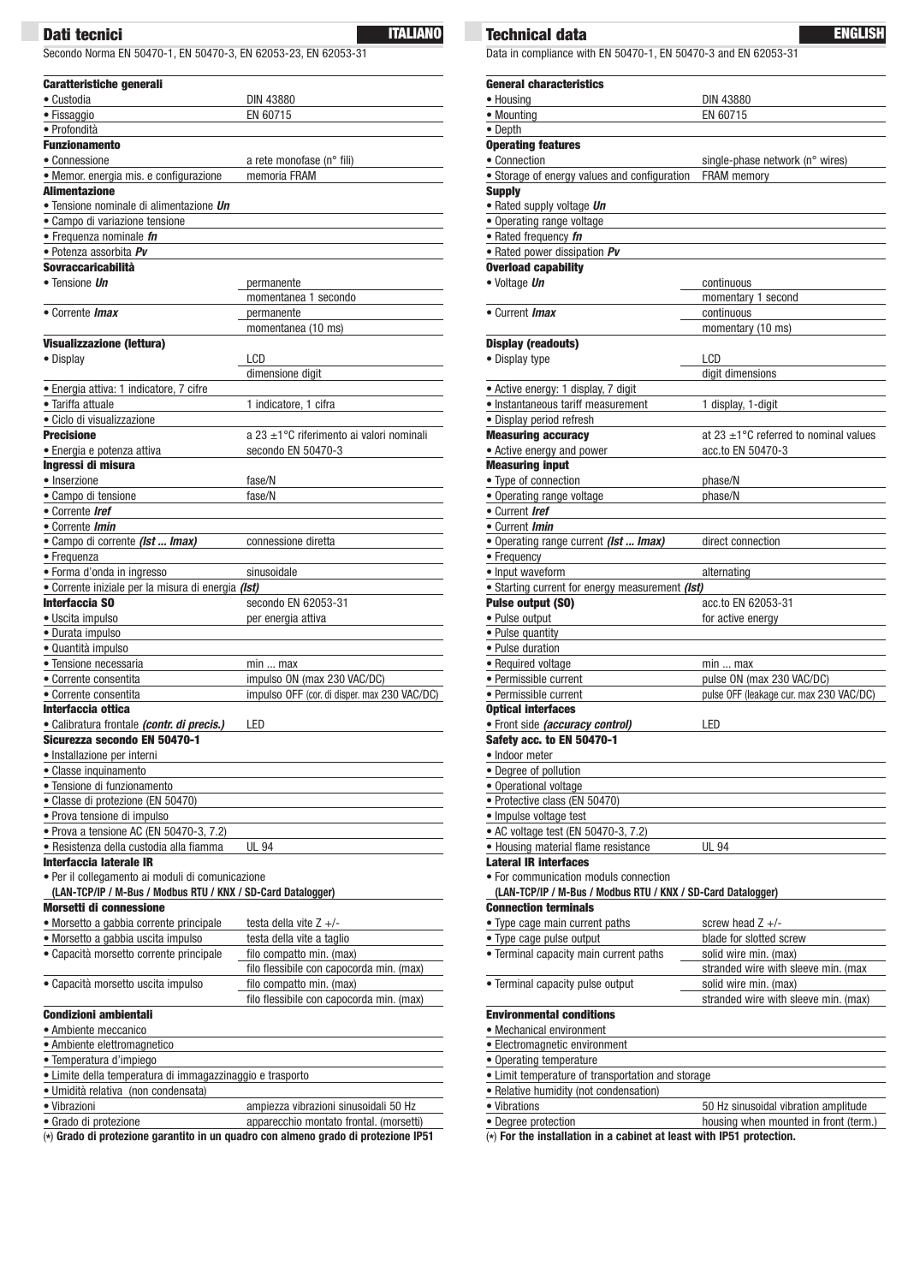Secondo Norma EN 50470-1, EN 50470-3, EN 62053-23, EN 62053-31

| <b>Caratteristiche generali</b>                                        |                                               |  |  |  |
|------------------------------------------------------------------------|-----------------------------------------------|--|--|--|
| • Custodia                                                             | <b>DIN 43880</b>                              |  |  |  |
| • Fissaggio                                                            | EN 60715                                      |  |  |  |
| • Profondità                                                           |                                               |  |  |  |
| <b>Funzionamento</b>                                                   |                                               |  |  |  |
| • Connessione                                                          | a rete monofase (n° fili)                     |  |  |  |
| · Memor. energia mis. e configurazione                                 | memoria FRAM                                  |  |  |  |
| <b>Alimentazione</b>                                                   |                                               |  |  |  |
| • Tensione nominale di alimentazione <i>Un</i>                         |                                               |  |  |  |
| · Campo di variazione tensione                                         |                                               |  |  |  |
| • Frequenza nominale fn<br>• Potenza assorbita Pv                      |                                               |  |  |  |
| Sovraccaricabilità                                                     |                                               |  |  |  |
| • Tensione Un                                                          | permanente                                    |  |  |  |
|                                                                        | momentanea 1 secondo                          |  |  |  |
| • Corrente <i>Imax</i>                                                 | permanente                                    |  |  |  |
|                                                                        | momentanea (10 ms)                            |  |  |  |
| <b>Visualizzazione (lettura)</b>                                       |                                               |  |  |  |
| · Display                                                              | LCD                                           |  |  |  |
|                                                                        | dimensione digit                              |  |  |  |
| · Energia attiva: 1 indicatore, 7 cifre                                |                                               |  |  |  |
| · Tariffa attuale                                                      | 1 indicatore, 1 cifra                         |  |  |  |
| • Ciclo di visualizzazione                                             |                                               |  |  |  |
| <b>Precisione</b>                                                      | a 23 $\pm$ 1°C riferimento ai valori nominali |  |  |  |
| • Energia e potenza attiva                                             | secondo EN 50470-3                            |  |  |  |
| Ingressi di misura                                                     |                                               |  |  |  |
| • Inserzione                                                           | fase/N                                        |  |  |  |
| • Campo di tensione                                                    | fase/N                                        |  |  |  |
| • Corrente Iref                                                        |                                               |  |  |  |
| • Corrente <i>Imin</i>                                                 |                                               |  |  |  |
| · Campo di corrente (Ist  Imax)                                        | connessione diretta                           |  |  |  |
| • Frequenza<br>· Forma d'onda in ingresso                              | sinusoidale                                   |  |  |  |
| • Corrente iniziale per la misura di energia (Ist)                     |                                               |  |  |  |
| <b>Interfaccia SO</b>                                                  | secondo EN 62053-31                           |  |  |  |
| · Uscita impulso                                                       | per energia attiva                            |  |  |  |
| · Durata impulso                                                       |                                               |  |  |  |
| · Quantità impulso                                                     |                                               |  |  |  |
| • Tensione necessaria                                                  | minmax                                        |  |  |  |
| • Corrente consentita                                                  | impulso ON (max 230 VAC/DC)                   |  |  |  |
| • Corrente consentita                                                  | impulso OFF (cor. di disper. max 230 VAC/DC)  |  |  |  |
| Interfaccia ottica                                                     |                                               |  |  |  |
| · Calibratura frontale (contr. di precis.)                             | LED                                           |  |  |  |
| Sicurezza secondo EN 50470-1                                           |                                               |  |  |  |
| Installazione per interni                                              |                                               |  |  |  |
| • Classe inquinamento                                                  |                                               |  |  |  |
| • Tensione di funzionamento                                            |                                               |  |  |  |
| • Classe di protezione (EN 50470)                                      |                                               |  |  |  |
| · Prova tensione di impulso<br>· Prova a tensione AC (EN 50470-3, 7.2) |                                               |  |  |  |
| • Resistenza della custodia alla fiamma                                | <b>UL 94</b>                                  |  |  |  |
| Interfaccia laterale IR                                                |                                               |  |  |  |
| · Per il collegamento ai moduli di comunicazione                       |                                               |  |  |  |
| (LAN-TCP/IP / M-Bus / Modbus RTU / KNX / SD-Card Datalogger)           |                                               |  |  |  |
| <b>Morsetti di connessione</b>                                         |                                               |  |  |  |
| • Morsetto a gabbia corrente principale                                | testa della vite $Z +/-$                      |  |  |  |
| · Morsetto a gabbia uscita impulso                                     | testa della vite a taglio                     |  |  |  |
| • Capacità morsetto corrente principale                                | filo compatto min. (max)                      |  |  |  |
|                                                                        | filo flessibile con capocorda min. (max)      |  |  |  |
| • Capacità morsetto uscita impulso                                     | filo compatto min. (max)                      |  |  |  |
|                                                                        | filo flessibile con capocorda min. (max)      |  |  |  |
| <b>Condizioni ambientali</b>                                           |                                               |  |  |  |
| • Ambiente meccanico                                                   |                                               |  |  |  |
| · Ambiente elettromagnetico                                            |                                               |  |  |  |
| · Temperatura d'impiego                                                |                                               |  |  |  |
| · Limite della temperatura di immagazzinaggio e trasporto              |                                               |  |  |  |
| • Umidità relativa (non condensata)                                    |                                               |  |  |  |
| • Vibrazioni                                                           | ampiezza vibrazioni sinusoidali 50 Hz         |  |  |  |
| · Grado di protezione                                                  | apparecchio montato frontal. (morsetti)       |  |  |  |

(**\***) **Grado di protezione garantito in un quadro con almeno grado di protezione IP51**

**Technical data Dati tecnici ITALIANO ENGLISH** Data in compliance with EN 50470-1, EN 50470-3 and EN 62053-31

| <b>General characteristics</b>                                            |                                                       |
|---------------------------------------------------------------------------|-------------------------------------------------------|
| • Housing                                                                 | DIN 43880                                             |
| • Mounting                                                                | EN 60715                                              |
| • Depth                                                                   |                                                       |
| <b>Operating features</b><br>• Connection                                 |                                                       |
| • Storage of energy values and configuration                              | single-phase network (n° wires)<br><b>FRAM</b> memory |
| <b>Supply</b>                                                             |                                                       |
| • Rated supply voltage Un                                                 |                                                       |
| • Operating range voltage                                                 |                                                       |
| · Rated frequency fn                                                      |                                                       |
| • Rated power dissipation Pv                                              |                                                       |
| <b>Overload capability</b>                                                |                                                       |
| • Voltage Un                                                              | continuous                                            |
|                                                                           | momentary 1 second                                    |
| • Current <i>Imax</i>                                                     | continuous                                            |
|                                                                           | momentary (10 ms)                                     |
| <b>Display (readouts)</b>                                                 |                                                       |
| • Display type                                                            | LCD                                                   |
|                                                                           | digit dimensions                                      |
| • Active energy: 1 display, 7 digit<br>• Instantaneous tariff measurement |                                                       |
| • Display period refresh                                                  | 1 display, 1-digit                                    |
| <b>Measuring accuracy</b>                                                 | at 23 $\pm$ 1°C referred to nominal values            |
| • Active energy and power                                                 | acc.to EN 50470-3                                     |
| <b>Measuring input</b>                                                    |                                                       |
| • Type of connection                                                      | phase/N                                               |
| • Operating range voltage                                                 | phase/N                                               |
| • Current Iref                                                            |                                                       |
| • Current <i>Imin</i>                                                     |                                                       |
| . Operating range current (Ist  Imax)                                     | direct connection                                     |
| • Frequency                                                               |                                                       |
| • Input waveform                                                          | alternating                                           |
| • Starting current for energy measurement (Ist)                           |                                                       |
| <b>Pulse output (SO)</b><br>• Pulse output                                | acc.to EN 62053-31<br>for active energy               |
| • Pulse quantity                                                          |                                                       |
| • Pulse duration                                                          |                                                       |
| • Required voltage                                                        | min  max                                              |
| • Permissible current                                                     | pulse ON (max 230 VAC/DC)                             |
| • Permissible current                                                     | pulse OFF (leakage cur. max 230 VAC/DC)               |
| <b>Optical interfaces</b>                                                 |                                                       |
| · Front side (accuracy control)                                           | LED                                                   |
| Safety acc. to EN 50470-1                                                 |                                                       |
| · Indoor meter                                                            |                                                       |
| • Degree of pollution                                                     |                                                       |
| • Operational voltage                                                     |                                                       |
| · Protective class (EN 50470)<br>• Impulse voltage test                   |                                                       |
| • AC voltage test (EN 50470-3, 7.2)                                       |                                                       |
| • Housing material flame resistance                                       | <b>UL 94</b>                                          |
| <b>Lateral IR interfaces</b>                                              |                                                       |
| • For communication moduls connection                                     |                                                       |
| (LAN-TCP/IP / M-Bus / Modbus RTU / KNX / SD-Card Datalogger)              |                                                       |
| <b>Connection terminals</b>                                               |                                                       |
| • Type cage main current paths                                            | screw head $Z +/-$                                    |
| • Type cage pulse output                                                  | blade for slotted screw                               |
| • Terminal capacity main current paths                                    | solid wire min. (max)                                 |
|                                                                           | stranded wire with sleeve min. (max                   |
| • Terminal capacity pulse output                                          | solid wire min. (max)                                 |
| <b>Environmental conditions</b>                                           | stranded wire with sleeve min. (max)                  |
| • Mechanical environment                                                  |                                                       |
| • Electromagnetic environment                                             |                                                       |
| • Operating temperature                                                   |                                                       |
| • Limit temperature of transportation and storage                         |                                                       |
| • Relative humidity (not condensation)                                    |                                                       |
| • Vibrations                                                              | 50 Hz sinusoidal vibration amplitude                  |
| • Degree protection                                                       | housing when mounted in front (term.)                 |

(**\***) **For the installation in a cabinet at least with IP51 protection.**